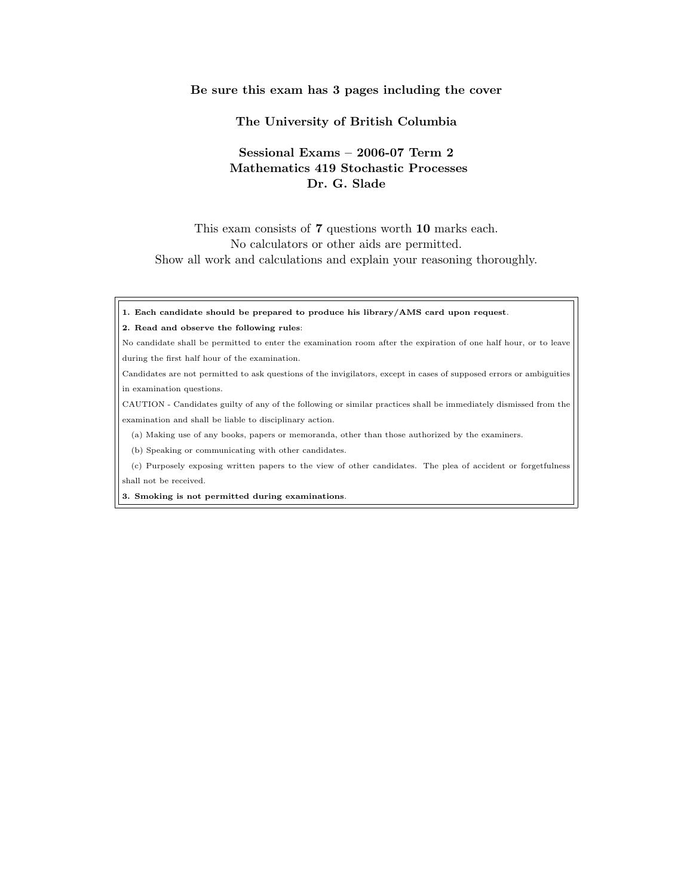## Be sure this exam has 3 pages including the cover

## The University of British Columbia

## Sessional Exams – 2006-07 Term 2 Mathematics 419 Stochastic Processes Dr. G. Slade

This exam consists of 7 questions worth 10 marks each. No calculators or other aids are permitted. Show all work and calculations and explain your reasoning thoroughly.

1. Each candidate should be prepared to produce his library/AMS card upon request.

## 2. Read and observe the following rules:

No candidate shall be permitted to enter the examination room after the expiration of one half hour, or to leave during the first half hour of the examination.

Candidates are not permitted to ask questions of the invigilators, except in cases of supposed errors or ambiguities in examination questions.

CAUTION - Candidates guilty of any of the following or similar practices shall be immediately dismissed from the examination and shall be liable to disciplinary action.

(a) Making use of any books, papers or memoranda, other than those authorized by the examiners.

(b) Speaking or communicating with other candidates.

(c) Purposely exposing written papers to the view of other candidates. The plea of accident or forgetfulness shall not be received.

3. Smoking is not permitted during examinations.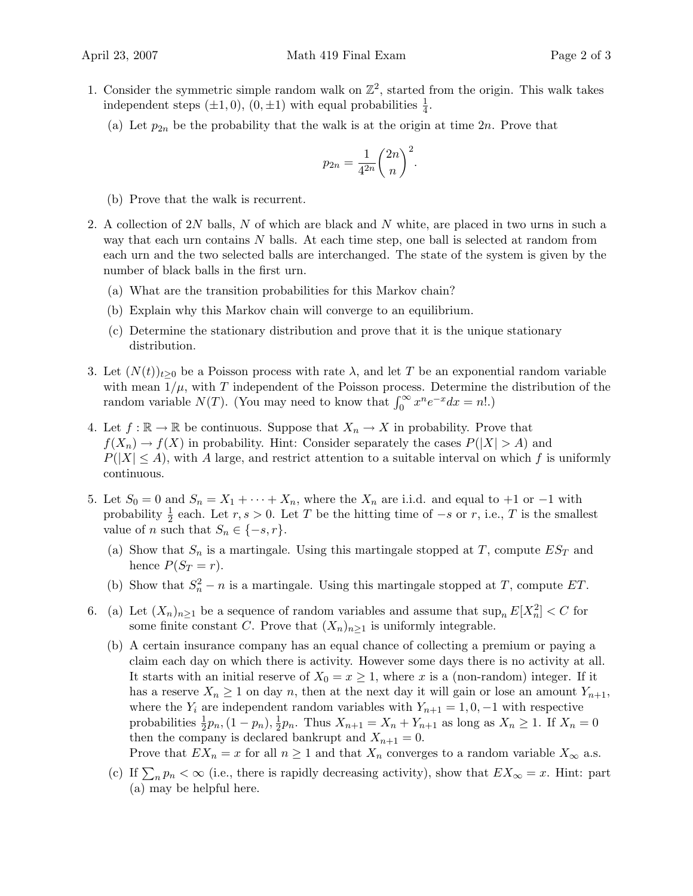- 1. Consider the symmetric simple random walk on  $\mathbb{Z}^2$ , started from the origin. This walk takes independent steps  $(\pm 1, 0), (0, \pm 1)$  with equal probabilities  $\frac{1}{4}$ .
	- (a) Let  $p_{2n}$  be the probability that the walk is at the origin at time  $2n$ . Prove that

$$
p_{2n} = \frac{1}{4^{2n}} \binom{2n}{n}^2.
$$

(b) Prove that the walk is recurrent.

- 2. A collection of  $2N$  balls, N of which are black and N white, are placed in two urns in such a way that each urn contains  $N$  balls. At each time step, one ball is selected at random from each urn and the two selected balls are interchanged. The state of the system is given by the number of black balls in the first urn.
	- (a) What are the transition probabilities for this Markov chain?
	- (b) Explain why this Markov chain will converge to an equilibrium.
	- (c) Determine the stationary distribution and prove that it is the unique stationary distribution.
- 3. Let  $(N(t))_{t>0}$  be a Poisson process with rate  $\lambda$ , and let T be an exponential random variable with mean  $1/\mu$ , with T independent of the Poisson process. Determine the distribution of the with mean  $1/\mu$ , with T independent of the Poisson process. Determine to random variable  $N(T)$ . (You may need to know that  $\int_0^\infty x^n e^{-x} dx = n!$ .)
- 4. Let  $f : \mathbb{R} \to \mathbb{R}$  be continuous. Suppose that  $X_n \to X$  in probability. Prove that  $f(X_n) \to f(X)$  in probability. Hint: Consider separately the cases  $P(|X| > A)$  and  $P(|X| \leq A)$ , with A large, and restrict attention to a suitable interval on which f is uniformly continuous.
- 5. Let  $S_0 = 0$  and  $S_n = X_1 + \cdots + X_n$ , where the  $X_n$  are i.i.d. and equal to +1 or −1 with probability  $\frac{1}{2}$  each. Let  $r, s > 0$ . Let T be the hitting time of  $-s$  or r, i.e., T is the smallest value of n such that  $S_n \in \{-s, r\}.$ 
	- (a) Show that  $S_n$  is a martingale. Using this martingale stopped at T, compute  $ES_T$  and hence  $P(S_T = r)$ .
	- (b) Show that  $S_n^2 n$  is a martingale. Using this martingale stopped at T, compute ET.
- 6. (a) Let  $(X_n)_{n\geq 1}$  be a sequence of random variables and assume that  $\sup_n E[X_n^2] < C$  for some finite constant C. Prove that  $(X_n)_{n\geq 1}$  is uniformly integrable.
	- (b) A certain insurance company has an equal chance of collecting a premium or paying a claim each day on which there is activity. However some days there is no activity at all. It starts with an initial reserve of  $X_0 = x \ge 1$ , where x is a (non-random) integer. If it has a reserve  $X_n \geq 1$  on day n, then at the next day it will gain or lose an amount  $Y_{n+1}$ , where the  $Y_i$  are independent random variables with  $Y_{n+1} = 1, 0, -1$  with respective probabilities  $\frac{1}{2}p_n$ ,  $(1-p_n)$ ,  $\frac{1}{2}$  $\frac{1}{2}p_n$ . Thus  $X_{n+1} = X_n + Y_{n+1}$  as long as  $X_n \ge 1$ . If  $X_n = 0$ then the company is declared bankrupt and  $X_{n+1} = 0$ . Prove that  $EX_n = x$  for all  $n \ge 1$  and that  $X_n$  converges to a random variable  $X_\infty$  a.s.
	- (c) If  $\sum_n p_n < \infty$  (i.e., there is rapidly decreasing activity), show that  $EX_\infty = x$ . Hint: part (a) may be helpful here.